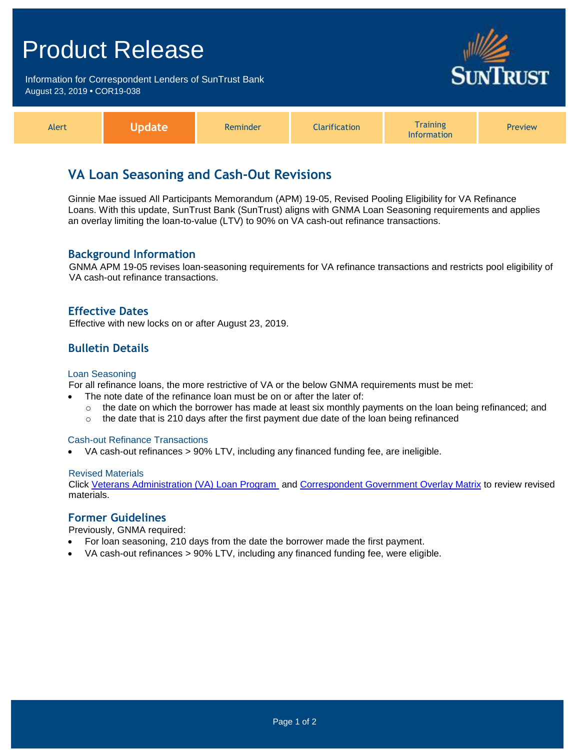# Product Release

Information for Correspondent Lenders of SunTrust Bank August 23, 2019 **•** COR19-038



| <b>Alert</b> | <b>Vpdate</b> | Reminder | <b>Clarification</b> | <b>Training</b><br><b>Information</b> | <b>Preview</b> |
|--------------|---------------|----------|----------------------|---------------------------------------|----------------|
|--------------|---------------|----------|----------------------|---------------------------------------|----------------|

# **VA Loan Seasoning and Cash-Out Revisions**

Ginnie Mae issued All Participants Memorandum (APM) 19-05, Revised Pooling Eligibility for VA Refinance Loans. With this update, SunTrust Bank (SunTrust) aligns with GNMA Loan Seasoning requirements and applies an overlay limiting the loan-to-value (LTV) to 90% on VA cash-out refinance transactions.

# **Background Information**

GNMA APM 19-05 revises loan-seasoning requirements for VA refinance transactions and restricts pool eligibility of VA cash-out refinance transactions.

# **Effective Dates**

Effective with new locks on or after August 23, 2019.

# **Bulletin Details**

#### Loan Seasoning

For all refinance loans, the more restrictive of VA or the below GNMA requirements must be met:

- The note date of the refinance loan must be on or after the later of:
	- $\circ$  the date on which the borrower has made at least six monthly payments on the loan being refinanced; and
	- $\circ$  the date that is 210 days after the first payment due date of the loan being refinanced

#### Cash-out Refinance Transactions

VA cash-out refinances > 90% LTV, including any financed funding fee, are ineligible.

#### Revised Materials

Click [Veterans Administration \(VA\) Loan Program](https://www.truistsellerguide.com/manual/cor/products/cVA.pdf) and [Correspondent Government Overlay Matrix](https://www.truistsellerguide.com/manual/cor/products/CGovtCreditOverlays.pdf) to review revised materials.

### **Former Guidelines**

Previously, GNMA required:

- For loan seasoning, 210 days from the date the borrower made the first payment.
- VA cash-out refinances > 90% LTV, including any financed funding fee, were eligible.